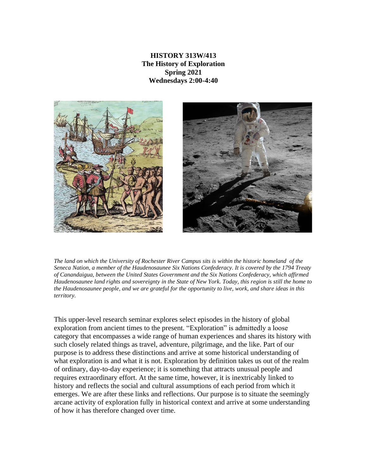**HISTORY 313W/413 The History of Exploration Spring 2021 Wednesdays 2:00-4:40**



The land on which the University of Rochester River Campus sits is within the historic homeland of the *Seneca Nation, a member of the Haudenosaunee Six Nations Confederacy. It is covered by the 1794 Treaty of Canandaigua, between the United States Government and the Six Nations Confederacy, which affirmed* Haudenosaunee land rights and sovereignty in the State of New York. Today, this region is still the home to the Haudenosaunee people, and we are grateful for the opportunity to live, work, and share ideas in this *territory.*

This upper-level research seminar explores select episodes in the history of global exploration from ancient times to the present. "Exploration" is admittedly a loose category that encompasses a wide range of human experiences and shares its history with such closely related things as travel, adventure, pilgrimage, and the like. Part of our purpose is to address these distinctions and arrive at some historical understanding of what exploration is and what it is not. Exploration by definition takes us out of the realm of ordinary, day-to-day experience; it is something that attracts unusual people and requires extraordinary effort. At the same time, however, it is inextricably linked to history and reflects the social and cultural assumptions of each period from which it emerges. We are after these links and reflections. Our purpose is to situate the seemingly arcane activity of exploration fully in historical context and arrive at some understanding of how it has therefore changed over time.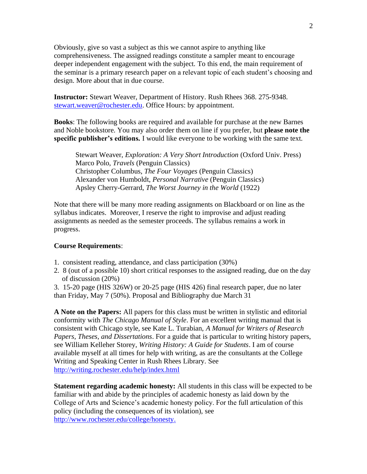Obviously, give so vast a subject as this we cannot aspire to anything like comprehensiveness. The assigned readings constitute a sampler meant to encourage deeper independent engagement with the subject. To this end, the main requirement of the seminar is a primary research paper on a relevant topic of each student's choosing and design. More about that in due course.

**Instructor:** Stewart Weaver, Department of History. Rush Rhees 368. 275-9348. [stewart.weaver@rochester.edu.](mailto:stewart.weaver@rochester.edu) Office Hours: by appointment.

**Books**: The following books are required and available for purchase at the new Barnes and Noble bookstore. You may also order them on line if you prefer, but **please note the specific publisher's editions***.* I would like everyone to be working with the same text.

Stewart Weaver, *Exploration: A Very Short Introduction* (Oxford Univ. Press) Marco Polo, *Travels* (Penguin Classics) Christopher Columbus, *The Four Voyages* (Penguin Classics) Alexander von Humboldt, *Personal Narrative* (Penguin Classics) Apsley Cherry-Gerrard, *The Worst Journey in the World* (1922)

Note that there will be many more reading assignments on Blackboard or on line as the syllabus indicates. Moreover, I reserve the right to improvise and adjust reading assignments as needed as the semester proceeds. The syllabus remains a work in progress.

#### **Course Requirements**:

- 1. consistent reading, attendance, and class participation (30%)
- 2. 8 (out of a possible 10) short critical responses to the assigned reading, due on the day of discussion (20%)

3. 15-20 page (HIS 326W) or 20-25 page (HIS 426) final research paper, due no later than Friday, May 7 (50%). Proposal and Bibliography due March 31

**A Note on the Papers:** All papers for this class must be written in stylistic and editorial conformity with *The Chicago Manual of Style*. For an excellent writing manual that is consistent with Chicago style, see Kate L. Turabian, *A Manual for Writers of Research Papers, Theses, and Dissertations*. For a guide that is particular to writing history papers, see William Kelleher Storey, *Writing History: A Guide for Students*. I am of course available myself at all times for help with writing, as are the consultants at the College Writing and Speaking Center in Rush Rhees Library. See <http://writing.rochester.edu/help/index.html>

**Statement regarding academic honesty:** All students in this class will be expected to be familiar with and abide by the principles of academic honesty as laid down by the College of Arts and Science's academic honesty policy. For the full articulation of this policy (including the consequences of its violation), see [http://www.rochester.edu/college/honesty.](http://www.rochester.edu/college/honesty)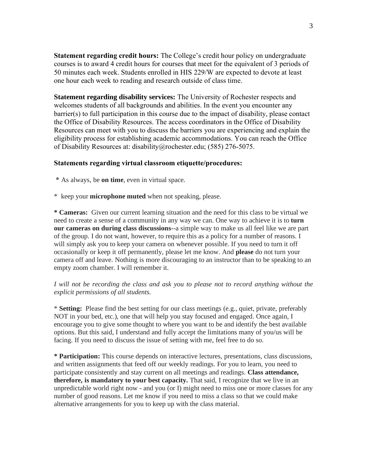**Statement regarding credit hours:** The College's credit hour policy on undergraduate courses is to award 4 credit hours for courses that meet for the equivalent of 3 periods of 50 minutes each week. Students enrolled in HIS 229/W are expected to devote at least one hour each week to reading and research outside of class time.

**Statement regarding disability services:** The University of Rochester respects and welcomes students of all backgrounds and abilities. In the event you encounter any barrier(s) to full participation in this course due to the impact of disability, please contact the Office of Disability Resources. The access coordinators in the Office of Disability Resources can meet with you to discuss the barriers you are experiencing and explain the eligibility process for establishing academic accommodations. You can reach the Office of Disability Resources at: disability@rochester.edu; (585) 276-5075.

### **Statements regarding virtual classroom etiquette/procedures:**

- **\*** As always, be **on time**, even in virtual space.
- \* keep your **microphone muted** when not speaking, please.

**\* Cameras:** Given our current learning situation and the need for this class to be virtual we need to create a sense of a community in any way we can. One way to achieve it is to **turn our cameras on during class discussions**--a simple way to make us all feel like we are part of the group. I do not want, however, to require this as a policy for a number of reasons. I will simply ask you to keep your camera on whenever possible. If you need to turn it off occasionally or keep it off permanently, please let me know. And **please** do not turn your camera off and leave. Nothing is more discouraging to an instructor than to be speaking to an empty zoom chamber. I will remember it.

## *I will not be recording the class and ask you to please not to record anything without the explicit permissions of all students.*

\* **Setting:** Please find the best setting for our class meetings (e.g., quiet, private, preferably NOT in your bed, etc.), one that will help you stay focused and engaged. Once again, I encourage you to give some thought to where you want to be and identify the best available options. But this said, I understand and fully accept the limitations many of you/us will be facing. If you need to discuss the issue of setting with me, feel free to do so.

**\* Participation:** This course depends on interactive lectures, presentations, class discussions, and written assignments that feed off our weekly readings. For you to learn, you need to participate consistently and stay current on all meetings and readings. **Class attendance, therefore, is mandatory to your best capacity.** That said, I recognize that we live in an unpredictable world right now - and you (or I) might need to miss one or more classes for any number of good reasons. Let me know if you need to miss a class so that we could make alternative arrangements for you to keep up with the class material.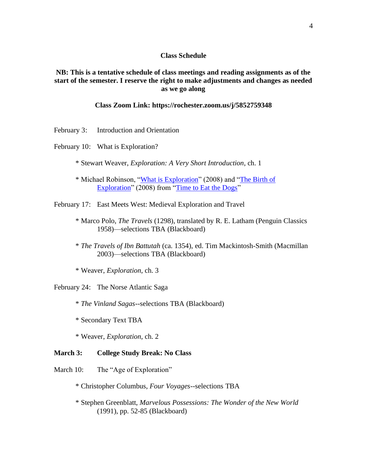### **Class Schedule**

**NB: This is a tentative schedule of class meetings and reading assignments as of the start of the semester. I reserve the right to make adjustments and changes as needed as we go along**

# **Class Zoom Link: https://rochester.zoom.us/j/5852759348**

- February 3: Introduction and Orientation
- February 10: What is Exploration?
	- \* Stewart Weaver, *Exploration: A Very Short Introduction*, ch. 1
	- \* Michael Robinson, ["What is Exploration"](https://timetoeatthedogs.com/2008/06/09/what-is-exploration/) (2008) and ["The Birth of](https://timetoeatthedogs.com/2008/08/12/the-birth-of-exploration/)  [Exploration"](https://timetoeatthedogs.com/2008/08/12/the-birth-of-exploration/) (2008) from ["Time to Eat the Dogs"](https://timetoeatthedogs.com/)

February 17: East Meets West: Medieval Exploration and Travel

- \* Marco Polo, *The Travels* (1298), translated by R. E. Latham (Penguin Classics 1958)—selections TBA (Blackboard)
- \* *The Travels of Ibn Battutah* (ca. 1354), ed. Tim Mackintosh-Smith (Macmillan 2003)—selections TBA (Blackboard)

\* Weaver, *Exploration*, ch. 3

February 24: The Norse Atlantic Saga

- \* *The Vinland Sagas*--selections TBA (Blackboard)
- \* Secondary Text TBA

\* Weaver, *Exploration*, ch. 2

### **March 3: College Study Break: No Class**

March 10: The "Age of Exploration"

- \* Christopher Columbus, *Four Voyages*--selections TBA
- \* Stephen Greenblatt, *Marvelous Possessions: The Wonder of the New World*  (1991), pp. 52-85 (Blackboard)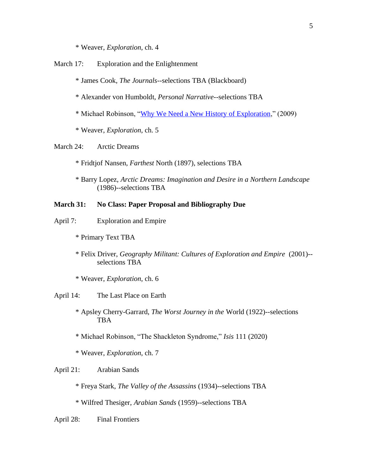\* Weaver, *Exploration*, ch. 4

March 17: Exploration and the Enlightenment

\* James Cook, *The Journals*--selections TBA (Blackboard)

- \* Alexander von Humboldt, *Personal Narrative*--selections TBA
- \* Michael Robinson, ["Why We Need a New History of Exploration,](http://commonplace.online/article/need-new-history-exploration/)" (2009)
- \* Weaver, *Exploration*, ch. 5

March 24: Arctic Dreams

- \* Fridtjof Nansen, *Farthest* North (1897), selections TBA
- \* Barry Lopez, *Arctic Dreams: Imagination and Desire in a Northern Landscape*  (1986)--selections TBA

## **March 31: No Class: Paper Proposal and Bibliography Due**

- April 7: Exploration and Empire
	- \* Primary Text TBA
	- \* Felix Driver, *Geography Militant: Cultures of Exploration and Empire* (2001)- selections TBA
	- \* Weaver, *Exploration*, ch. 6
- April 14: The Last Place on Earth
	- \* Apsley Cherry-Garrard, *The Worst Journey in the* World (1922)--selections TBA
	- \* Michael Robinson, "The Shackleton Syndrome," *Isis* 111 (2020)
	- \* Weaver, *Exploration*, ch. 7

## April 21: Arabian Sands

- \* Freya Stark, *The Valley of the Assassins* (1934)--selections TBA
- \* Wilfred Thesiger, *Arabian Sands* (1959)--selections TBA

April 28: Final Frontiers